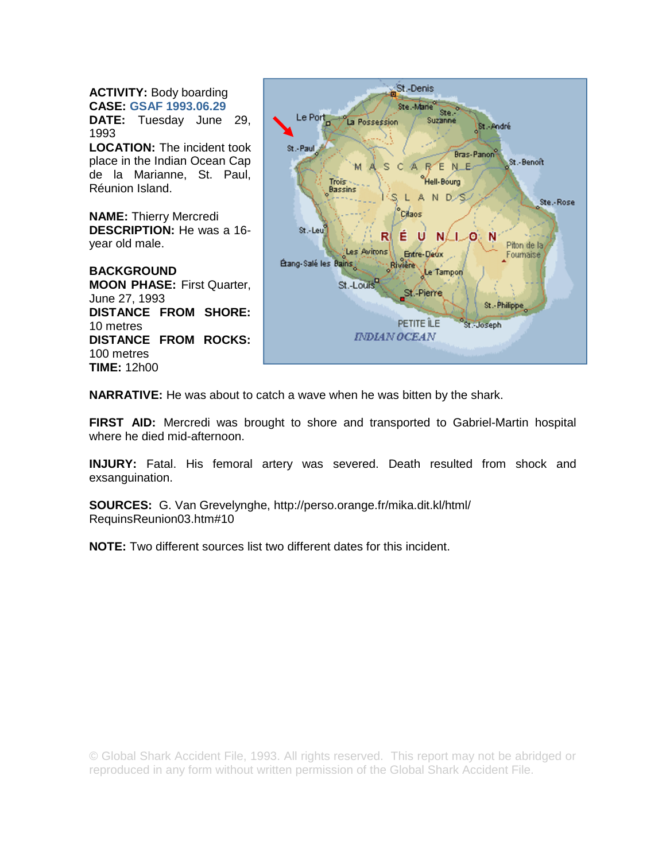**ACTIVITY:** Body boarding **CASE: GSAF 1993.06.29**

**DATE:** Tuesday June 29, 1993

**LOCATION:** The incident took place in the Indian Ocean Cap de la Marianne, St. Paul, Réunion Island.

**NAME:** Thierry Mercredi **DESCRIPTION:** He was a 16 year old male.

**BACKGROUND MOON PHASE:** First Quarter, June 27, 1993 **DISTANCE FROM SHORE:**  10 metres **DISTANCE FROM ROCKS:**  100 metres **TIME:** 12h00



**NARRATIVE:** He was about to catch a wave when he was bitten by the shark.

**FIRST AID:** Mercredi was brought to shore and transported to Gabriel-Martin hospital where he died mid-afternoon.

**INJURY:** Fatal. His femoral artery was severed. Death resulted from shock and exsanguination.

**SOURCES:** G. Van Grevelynghe, http://perso.orange.fr/mika.dit.kl/html/ RequinsReunion03.htm#10

**NOTE:** Two different sources list two different dates for this incident.

© Global Shark Accident File, 1993. All rights reserved. This report may not be abridged or reproduced in any form without written permission of the Global Shark Accident File.